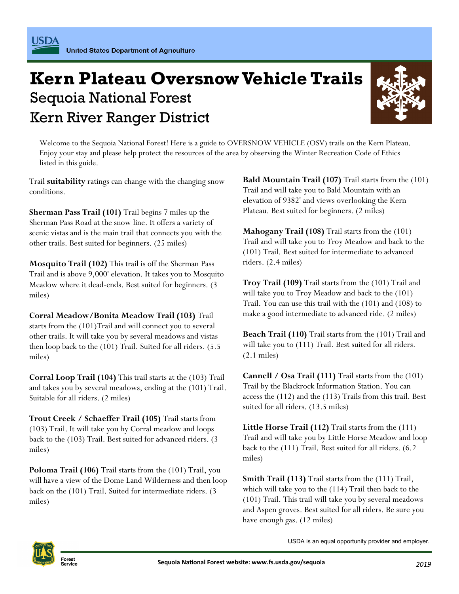## Kern River Ranger District **Kern Plateau Oversnow Vehicle Trails**  Sequoia National Forest



 Welcome to the Sequoia National Forest! Here is a guide to OVERSNOW VEHICLE (OSV) trails on the Kern Plateau. Enjoy your stay and please help protect the resources of the area by observing the Winter Recreation Code of Ethics listed in this guide.

 Trail **suitability** ratings can change with the changing snow conditions.

 **Sherman Pass Trail (101)** Trail begins 7 miles up the Sherman Pass Road at the snow line. It offers a variety of scenic vistas and is the main trail that connects you with the other trails. Best suited for beginners. (25 miles)

 **Mosquito Trail (102)** This trail is off the Sherman Pass Trail and is above 9,000' elevation. It takes you to Mosquito Meadow where it dead-ends. Best suited for beginners. (3 miles)

 **Corral Meadow/Bonita Meadow Trail (103)** Trail starts from the (101)Trail and will connect you to several other trails. It will take you by several meadows and vistas then loop back to the (101) Trail. Suited for all riders. (5.5 miles) Trail stitute is the conditions.<br>
Trail starts from the conditions and Mountain Trail (101) Trail starts from the electron of 9382 and velocity of the section of 9382 and velocity the Fandam Pass Rail (101) Trail legens 7

 **Corral Loop Trail (104)** This trail starts at the (103) Trail and takes you by several meadows, ending at the (101) Trail. Suitable for all riders. (2 miles)

 **Trout Creek / Schaeffer Trail (105)** Trail starts from (103) Trail. It will take you by Corral meadow and loops back to the (103) Trail. Best suited for advanced riders. (3 miles)

 **Poloma Trail (106)** Trail starts from the (101) Trail, you will have a view of the Dome Land Wilderness and then loop back on the (101) Trail. Suited for intermediate riders. (3

**Bald Mountain Trail (107)** Trail starts from the (101) Trail and will take you to Bald Mountain with an elevation of 9382' and views overlooking the Kern Plateau. Best suited for beginners. (2 miles)

 **Mahogany Trail (108)** Trail starts from the (101) Trail and will take you to Troy Meadow and back to the (101) Trail. Best suited for intermediate to advanced riders. (2.4 miles)

 **Troy Trail (109)** Trail starts from the (101) Trail and will take you to Troy Meadow and back to the (101) Trail. You can use this trail with the (101) and (108) to make a good intermediate to advanced ride. (2 miles)

 **Beach Trail (110)** Trail starts from the (101) Trail and will take you to (111) Trail. Best suited for all riders. (2.1 miles)

 **Cannell / Osa Trail (111)** Trail starts from the (101) Trail by the Blackrock Information Station. You can access the (112) and the (113) Trails from this trail. Best suited for all riders. (13.5 miles)

 **Little Horse Trail (112)** Trail starts from the (111) Trail and will take you by Little Horse Meadow and loop back to the (111) Trail. Best suited for all riders. (6.2 miles)

 **Smith Trail (113)** Trail starts from the (111) Trail, which will take you to the (114) Trail then back to the (101) Trail. This trail will take you by several meadows and Aspen groves. Best suited for all riders. Be sure you have enough gas. (12 miles)

USDA is an equal opportunity provider and employer.